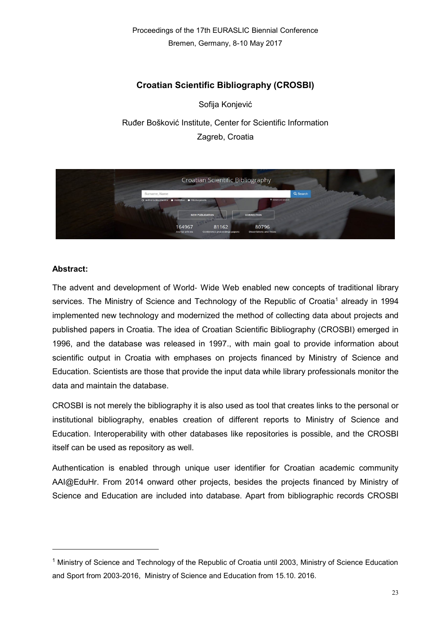Proceedings of the 17th EURASLIC Biennial Conference Bremen, Germany, 8-10 May 2017

## **Croatian Scientific Bibliography (CROSBI)**

Sofija Konjević

Ruđer Bošković Institute, Center for Scientific Information Zagreb, Croatia



## **Abstract:**

The advent and development of World‐ Wide Web enabled new concepts of traditional library services. The Ministry of Science and Technology of the Republic of Croatia<sup>1</sup> already in 1994 implemented new technology and modernized the method of collecting data about projects and published papers in Croatia. The idea of Croatian Scientific Bibliography (CROSBI) emerged in 1996, and the database was released in 1997., with main goal to provide information about scientific output in Croatia with emphases on projects financed by Ministry of Science and Education. Scientists are those that provide the input data while library professionals monitor the data and maintain the database.

CROSBI is not merely the bibliography it is also used as tool that creates links to the personal or institutional bibliography, enables creation of different reports to Ministry of Science and Education. Interoperability with other databases like repositories is possible, and the CROSBI itself can be used as repository as well.

Authentication is enabled through unique user identifier for Croatian academic community AAI@EduHr. From 2014 onward other projects, besides the projects financed by Ministry of Science and Education are included into database. Apart from bibliographic records CROSBI

<sup>&</sup>lt;sup>1</sup> Ministry of Science and Technology of the Republic of Croatia until 2003, Ministry of Science Education and Sport from 2003-2016, Ministry of Science and Education from 15.10. 2016.